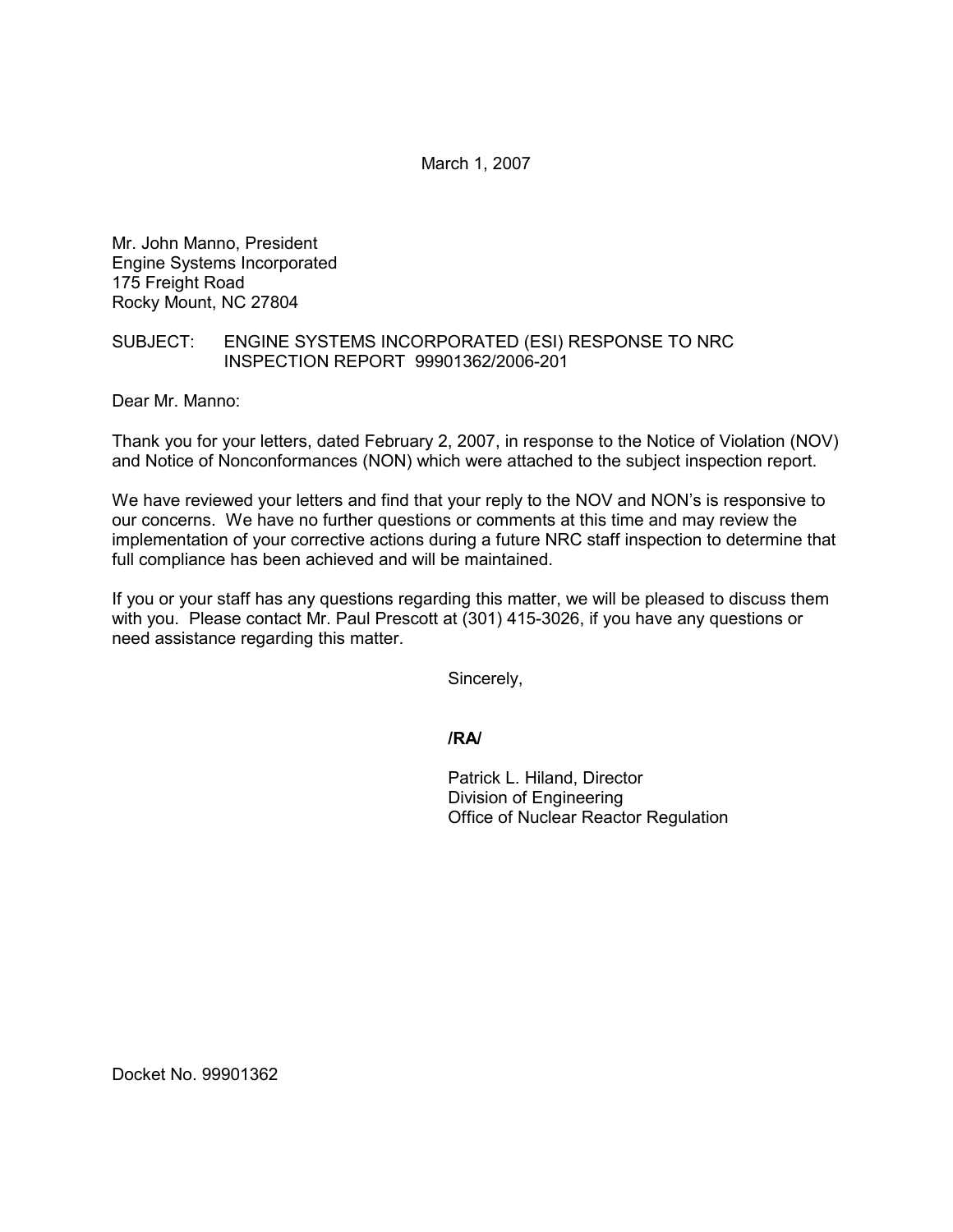March 1, 2007

Mr. John Manno, President Engine Systems Incorporated 175 Freight Road Rocky Mount, NC 27804

## SUBJECT: ENGINE SYSTEMS INCORPORATED (ESI) RESPONSE TO NRC INSPECTION REPORT 99901362/2006-201

Dear Mr. Manno:

Thank you for your letters, dated February 2, 2007, in response to the Notice of Violation (NOV) and Notice of Nonconformances (NON) which were attached to the subject inspection report.

We have reviewed your letters and find that your reply to the NOV and NON's is responsive to our concerns. We have no further questions or comments at this time and may review the implementation of your corrective actions during a future NRC staff inspection to determine that full compliance has been achieved and will be maintained.

If you or your staff has any questions regarding this matter, we will be pleased to discuss them with you. Please contact Mr. Paul Prescott at (301) 415-3026, if you have any questions or need assistance regarding this matter.

Sincerely,

**/RA/**

Patrick L. Hiland, Director Division of Engineering Office of Nuclear Reactor Regulation

Docket No. 99901362